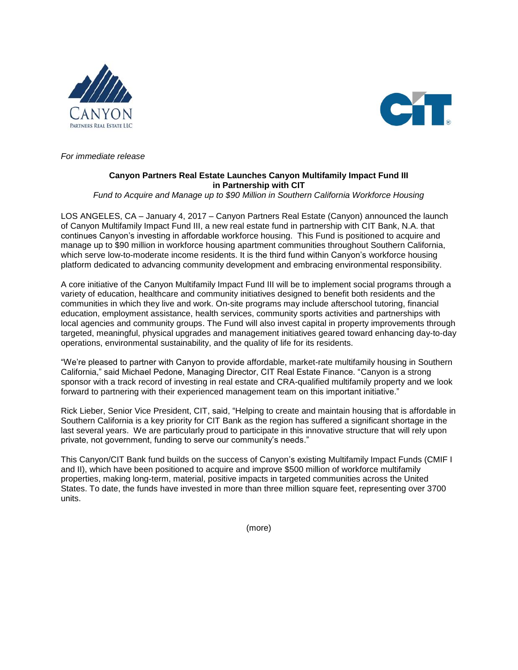



*For immediate release* 

## **Canyon Partners Real Estate Launches Canyon Multifamily Impact Fund III in Partnership with CIT**

*Fund to Acquire and Manage up to \$90 Million in Southern California Workforce Housing*

LOS ANGELES, CA – January 4, 2017 – Canyon Partners Real Estate (Canyon) announced the launch of Canyon Multifamily Impact Fund III, a new real estate fund in partnership with CIT Bank, N.A. that continues Canyon's investing in affordable workforce housing. This Fund is positioned to acquire and manage up to \$90 million in workforce housing apartment communities throughout Southern California, which serve low-to-moderate income residents. It is the third fund within Canyon's workforce housing platform dedicated to advancing community development and embracing environmental responsibility.

A core initiative of the Canyon Multifamily Impact Fund III will be to implement social programs through a variety of education, healthcare and community initiatives designed to benefit both residents and the communities in which they live and work. On-site programs may include afterschool tutoring, financial education, employment assistance, health services, community sports activities and partnerships with local agencies and community groups. The Fund will also invest capital in property improvements through targeted, meaningful, physical upgrades and management initiatives geared toward enhancing day-to‐day operations, environmental sustainability, and the quality of life for its residents.

"We're pleased to partner with Canyon to provide affordable, market-rate multifamily housing in Southern California," said Michael Pedone, Managing Director, CIT Real Estate Finance. "Canyon is a strong sponsor with a track record of investing in real estate and CRA-qualified multifamily property and we look forward to partnering with their experienced management team on this important initiative."

Rick Lieber, Senior Vice President, CIT, said, "Helping to create and maintain housing that is affordable in Southern California is a key priority for CIT Bank as the region has suffered a significant shortage in the last several years. We are particularly proud to participate in this innovative structure that will rely upon private, not government, funding to serve our community's needs."

This Canyon/CIT Bank fund builds on the success of Canyon's existing Multifamily Impact Funds (CMIF I and II), which have been positioned to acquire and improve \$500 million of workforce multifamily properties, making long-term, material, positive impacts in targeted communities across the United States. To date, the funds have invested in more than three million square feet, representing over 3700 units.

(more)